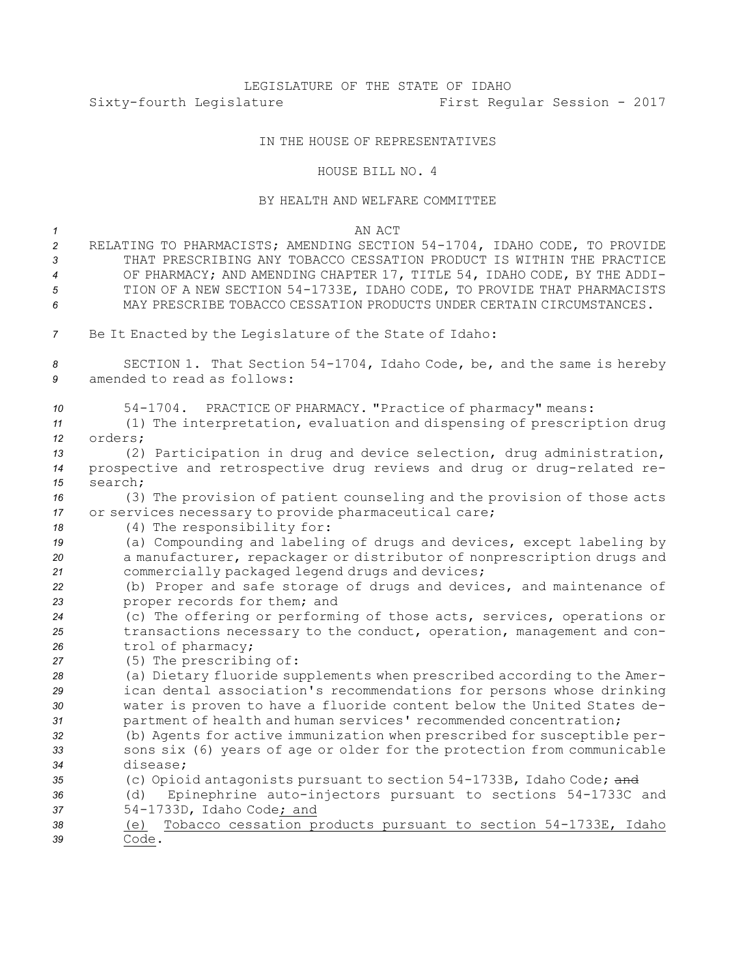## LEGISLATURE OF THE STATE OF IDAHO<br>First Regussiature First Regussiature First Regular Session - 2017

## IN THE HOUSE OF REPRESENTATIVES

## HOUSE BILL NO. <sup>4</sup>

## BY HEALTH AND WELFARE COMMITTEE

| Be It Enacted by the Legislature of the State of Idaho:<br>7                                                                                                                                                         |
|----------------------------------------------------------------------------------------------------------------------------------------------------------------------------------------------------------------------|
|                                                                                                                                                                                                                      |
| SECTION 1. That Section 54-1704, Idaho Code, be, and the same is hereby<br>8<br>amended to read as follows:<br>9                                                                                                     |
| PRACTICE OF PHARMACY. "Practice of pharmacy" means:<br>$54 - 1704$ .<br>10<br>(1) The interpretation, evaluation and dispensing of prescription drug<br>11<br>orders;<br>12                                          |
| (2) Participation in drug and device selection, drug administration,<br>13<br>prospective and retrospective drug reviews and drug or drug-related re-<br>14                                                          |
| search:<br>15<br>(3) The provision of patient counseling and the provision of those acts<br>16<br>or services necessary to provide pharmaceutical care;<br>17<br>(4) The responsibility for:<br>18                   |
| (a) Compounding and labeling of drugs and devices, except labeling by<br>19<br>a manufacturer, repackager or distributor of nonprescription drugs and<br>20<br>commercially packaged legend drugs and devices;<br>21 |
| (b) Proper and safe storage of drugs and devices, and maintenance of<br>22<br>proper records for them; and<br>23                                                                                                     |
| (c) The offering or performing of those acts, services, operations or<br>24<br>transactions necessary to the conduct, operation, management and con-<br>25<br>trol of pharmacy;<br>26                                |
| (5) The prescribing of:<br>27<br>(a) Dietary fluoride supplements when prescribed according to the Amer-                                                                                                             |
| 28<br>ican dental association's recommendations for persons whose drinking<br>29                                                                                                                                     |
| water is proven to have a fluoride content below the United States de-<br>30<br>partment of health and human services' recommended concentration;<br>31                                                              |
| (b) Agents for active immunization when prescribed for susceptible per-<br>32<br>sons six (6) years of age or older for the protection from communicable<br>33                                                       |
| disease;<br>34                                                                                                                                                                                                       |
| (c) Opioid antagonists pursuant to section 54-1733B, Idaho Code; and<br>35<br>Epinephrine auto-injectors pursuant to sections 54-1733C and<br>(d)<br>36                                                              |
| 54-1733D, Idaho Code; and<br>37                                                                                                                                                                                      |
| Tobacco cessation products pursuant to section 54-1733E, Idaho<br>38<br>(e)<br>Code.<br>39                                                                                                                           |